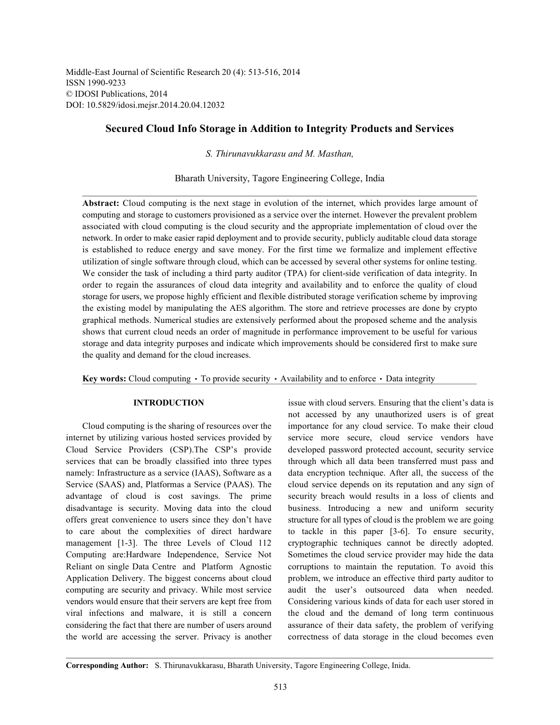Middle-East Journal of Scientific Research 20 (4): 513-516, 2014 ISSN 1990-9233 © IDOSI Publications, 2014 DOI: 10.5829/idosi.mejsr.2014.20.04.12032

# **Secured Cloud Info Storage in Addition to Integrity Products and Services**

*S. Thirunavukkarasu and M. Masthan,*

Bharath University, Tagore Engineering College, India

**Abstract:** Cloud computing is the next stage in evolution of the internet, which provides large amount of computing and storage to customers provisioned as a service over the internet. However the prevalent problem associated with cloud computing is the cloud security and the appropriate implementation of cloud over the network. In order to make easier rapid deployment and to provide security, publicly auditable cloud data storage is established to reduce energy and save money. For the first time we formalize and implement effective utilization of single software through cloud, which can be accessed by several other systems for online testing. We consider the task of including a third party auditor (TPA) for client-side verification of data integrity. In order to regain the assurances of cloud data integrity and availability and to enforce the quality of cloud storage for users, we propose highly efficient and flexible distributed storage verification scheme by improving the existing model by manipulating the AES algorithm. The store and retrieve processes are done by crypto graphical methods. Numerical studies are extensively performed about the proposed scheme and the analysis shows that current cloud needs an order of magnitude in performance improvement to be useful for various storage and data integrity purposes and indicate which improvements should be considered first to make sure the quality and demand for the cloud increases.

**Key words:** Cloud computing  $\cdot$  To provide security  $\cdot$  Availability and to enforce  $\cdot$  Data integrity

internet by utilizing various hosted services provided by service more secure, cloud service vendors have Cloud Service Providers (CSP).The CSP's provide developed password protected account, security service services that can be broadly classified into three types through which all data been transferred must pass and namely: Infrastructure as a service (IAAS), Software as a data encryption technique. After all, the success of the Service (SAAS) and, Platformas a Service (PAAS). The cloud service depends on its reputation and any sign of advantage of cloud is cost savings. The prime security breach would results in a loss of clients and disadvantage is security. Moving data into the cloud business. Introducing a new and uniform security offers great convenience to users since they don't have structure for all types of cloud is the problem we are going to care about the complexities of direct hardware to tackle in this paper [3-6]. To ensure security, management [1-3]. The three Levels of Cloud 112 cryptographic techniques cannot be directly adopted. Computing are:Hardware Independence, Service Not Sometimes the cloud service provider may hide the data Reliant on single Data Centre and Platform Agnostic corruptions to maintain the reputation. To avoid this Application Delivery. The biggest concerns about cloud problem, we introduce an effective third party auditor to computing are security and privacy. While most service audit the user's outsourced data when needed. vendors would ensure that their servers are kept free from Considering various kinds of data for each user stored in viral infections and malware, it is still a concern the cloud and the demand of long term continuous considering the fact that there are number of users around assurance of their data safety, the problem of verifying the world are accessing the server. Privacy is another correctness of data storage in the cloud becomes even

**INTRODUCTION** issue with cloud servers. Ensuring that the client's data is Cloud computing is the sharing of resources over the importance for any cloud service. To make their cloud not accessed by any unauthorized users is of great

**Corresponding Author:** S. Thirunavukkarasu, Bharath University, Tagore Engineering College, Inida.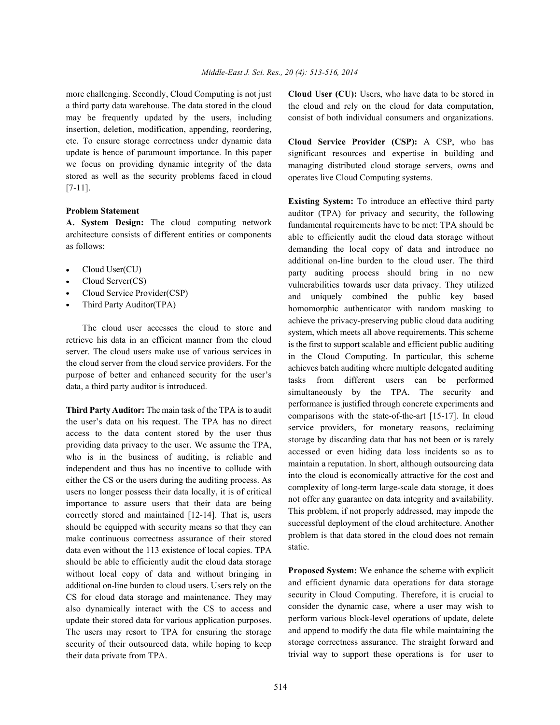a third party data warehouse. The data stored in the cloud may be frequently updated by the users, including insertion, deletion, modification, appending, reordering, etc. To ensure storage correctness under dynamic data update is hence of paramount importance. In this paper we focus on providing dynamic integrity of the data stored as well as the security problems faced in cloud [7-11].

## **Problem Statement**

**A. System Design:** The cloud computing network architecture consists of different entities or components as follows:

- Cloud User(CU)
- Cloud Server(CS)
- Cloud Service Provider(CSP)
- Third Party Auditor(TPA)

The cloud user accesses the cloud to store and retrieve his data in an efficient manner from the cloud server. The cloud users make use of various services in the cloud server from the cloud service providers. For the purpose of better and enhanced security for the user's data, a third party auditor is introduced.

**Third Party Auditor:** The main task of the TPA is to audit the user's data on his request. The TPA has no direct access to the data content stored by the user thus providing data privacy to the user. We assume the TPA, who is in the business of auditing, is reliable and independent and thus has no incentive to collude with either the CS or the users during the auditing process. As users no longer possess their data locally, it is of critical importance to assure users that their data are being correctly stored and maintained [12-14]. That is, users should be equipped with security means so that they can make continuous correctness assurance of their stored data even without the 113 existence of local copies. TPA should be able to efficiently audit the cloud data storage without local copy of data and without bringing in additional on-line burden to cloud users. Users rely on the CS for cloud data storage and maintenance. They may also dynamically interact with the CS to access and update their stored data for various application purposes. The users may resort to TPA for ensuring the storage security of their outsourced data, while hoping to keep their data private from TPA.

more challenging. Secondly, Cloud Computing is not just **Cloud User (CU):** Users, who have data to be stored in the cloud and rely on the cloud for data computation, consist of both individual consumers and organizations.

> **Cloud Service Provider (CSP):** A CSP, who has significant resources and expertise in building and managing distributed cloud storage servers, owns and operates live Cloud Computing systems.

> **Existing System:** To introduce an effective third party auditor (TPA) for privacy and security, the following fundamental requirements have to be met: TPA should be able to efficiently audit the cloud data storage without demanding the local copy of data and introduce no additional on-line burden to the cloud user. The third party auditing process should bring in no new vulnerabilities towards user data privacy. They utilized and uniquely combined the public key based homomorphic authenticator with random masking to achieve the privacy-preserving public cloud data auditing system, which meets all above requirements. This scheme is the first to support scalable and efficient public auditing in the Cloud Computing. In particular, this scheme achieves batch auditing where multiple delegated auditing tasks from different users can be performed simultaneously by the TPA. The security and performance is justified through concrete experiments and comparisons with the state-of-the-art [15-17]. In cloud service providers, for monetary reasons, reclaiming storage by discarding data that has not been or is rarely accessed or even hiding data loss incidents so as to maintain a reputation. In short, although outsourcing data into the cloud is economically attractive for the cost and complexity of long-term large-scale data storage, it does not offer any guarantee on data integrity and availability. This problem, if not properly addressed, may impede the successful deployment of the cloud architecture. Another problem is that data stored in the cloud does not remain static.

> **Proposed System:** We enhance the scheme with explicit and efficient dynamic data operations for data storage security in Cloud Computing. Therefore, it is crucial to consider the dynamic case, where a user may wish to perform various block-level operations of update, delete and append to modify the data file while maintaining the storage correctness assurance. The straight forward and trivial way to support these operations is for user to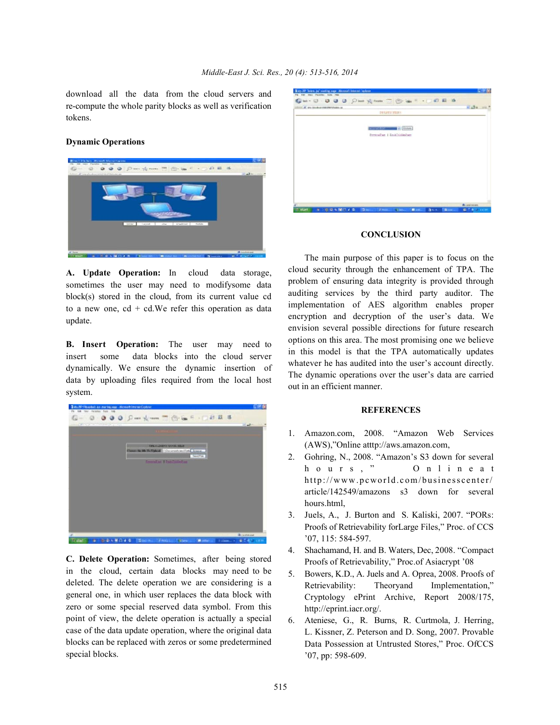download all the data from the cloud servers and re-compute the whole parity blocks as well as verification tokens.

#### **Dynamic Operations**



**A. Update Operation:** In cloud data storage, sometimes the user may need to modifysome data block(s) stored in the cloud, from its current value cd to a new one,  $cd + cd$ . We refer this operation as data update.

**B. Insert Operation:** The user may need to insert some data blocks into the cloud server dynamically. We ensure the dynamic insertion of data by uploading files required from the local host system.



**C. Delete Operation:** Sometimes, after being stored in the cloud, certain data blocks may need to be deleted. The delete operation we are considering is a general one, in which user replaces the data block with zero or some special reserved data symbol. From this point of view, the delete operation is actually a special case of the data update operation, where the original data blocks can be replaced with zeros or some predetermined special blocks.

|                                           |                      | Can - 0 0 0 0 0 0 m + x m = 0 m + - 0 0 E 4 |                        |                        |
|-------------------------------------------|----------------------|---------------------------------------------|------------------------|------------------------|
| <b>STOCK OF THE SECRET WAS PROPERTIES</b> |                      |                                             |                        | madu au                |
|                                           |                      | DOARTS HARR                                 |                        |                        |
|                                           |                      |                                             |                        |                        |
|                                           |                      | $\mathcal{V}_i$ (Orner)                     |                        |                        |
|                                           |                      | formodue i AnADokkiber                      |                        |                        |
|                                           |                      |                                             |                        |                        |
|                                           |                      |                                             |                        |                        |
|                                           |                      |                                             |                        |                        |
|                                           |                      |                                             |                        |                        |
|                                           |                      |                                             |                        |                        |
|                                           |                      |                                             |                        |                        |
|                                           |                      |                                             |                        |                        |
|                                           |                      |                                             |                        |                        |
|                                           |                      |                                             |                        |                        |
|                                           |                      |                                             |                        |                        |
|                                           |                      |                                             |                        |                        |
|                                           |                      |                                             |                        |                        |
|                                           |                      |                                             |                        | <b>A</b> ustiness      |
| ○日本権による<br><b>Ward</b><br>٠               | $\sim$<br>27 million | <b>COMPOSITION</b><br>$\sim$                | <b>Brown Filterion</b> | <b>B. F. B. Street</b> |

### **CONCLUSION**

The main purpose of this paper is to focus on the cloud security through the enhancement of TPA. The problem of ensuring data integrity is provided through auditing services by the third party auditor. The implementation of AES algorithm enables proper encryption and decryption of the user's data. We envision several possible directions for future research options on this area. The most promising one we believe in this model is that the TPA automatically updates whatever he has audited into the user's account directly. The dynamic operations over the user's data are carried out in an efficient manner.

#### **REFERENCES**

- 1. Amazon.com, 2008. "Amazon Web Services (AWS),"Online atttp://aws.amazon.com,
- 2. Gohring, N., 2008. "Amazon's S3 down for several hours," Onlineat http://www.pcworld.com/businesscenter/ article/142549/amazons s3 down for several hours.html,
- 3. Juels, A., J. Burton and S. Kaliski, 2007. "PORs: Proofs of Retrievability forLarge Files," Proc. of CCS '07, 115: 584-597.
- 4. Shachamand, H. and B. Waters, Dec, 2008. "Compact Proofs of Retrievability," Proc.of Asiacrypt '08
- 5. Bowers, K.D., A. Juels and A. Oprea, 2008. Proofs of Retrievability: Theoryand Implementation," Cryptology ePrint Archive, Report 2008/175, http://eprint.iacr.org/.
- 6. Ateniese, G., R. Burns, R. Curtmola, J. Herring, L. Kissner, Z. Peterson and D. Song, 2007. Provable Data Possession at Untrusted Stores," Proc. OfCCS '07, pp: 598-609.